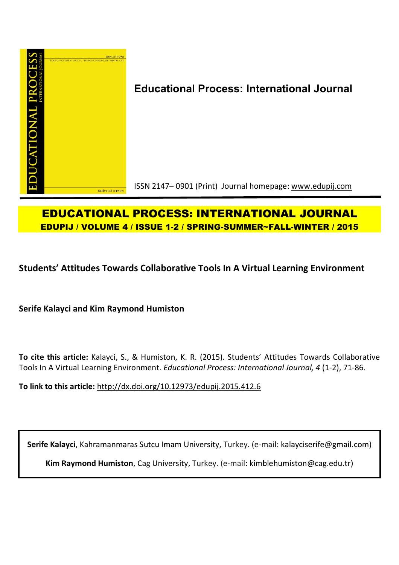

# **Educational Process: International Journal**

ISSN 2147– 0901 (Print) Journal homepage: www.edupij.com

## **EDUCATIONAL PROCESS: INTERNATIONAL JOURNAL EDUPIJ / VOLUME 4 / ISSUE 1-2 / SPRING-SUMMER~FALL-WINTER / 2015**

**Students' Attitudes Towards Collaborative Tools In A Virtual Learning Environment**

**Serife Kalayci and Kim Raymond Humiston** 

**To cite this article:** Kalayci, S., & Humiston, K. R. (2015). Students' Attitudes Towards Collaborative Tools In A Virtual Learning Environment. *Educational Process: International Journal, 4* (1-2), 71-86.

**To link to this article:** http://dx.doi.org/10.12973/edupij.2015.412.6

**Serife Kalayci**, Kahramanmaras Sutcu Imam University, Turkey. (e-mail: kalayciserife@gmail.com)

**Kim Raymond Humiston**, Cag University, Turkey. (e-mail: kimblehumiston@cag.edu.tr)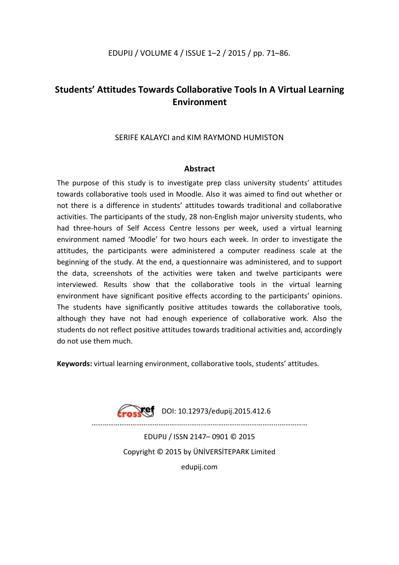## **Students' Attitudes Towards Collaborative Tools In A Virtual Learning Environment**

## SERIFE KALAYCI and KIM RAYMOND HUMISTON

## **Abstract**

The purpose of this study is to investigate prep class university students' attitudes towards collaborative tools used in Moodle. Also it was aimed to find out whether or not there is a difference in students' attitudes towards traditional and collaborative activities. The participants of the study, 28 non-English major university students, who had three-hours of Self Access Centre lessons per week, used a virtual learning environment named 'Moodle' for two hours each week. In order to investigate the attitudes, the participants were administered a computer readiness scale at the beginning of the study. At the end, a questionnaire was administered, and to support the data, screenshots of the activities were taken and twelve participants were interviewed. Results show that the collaborative tools in the virtual learning environment have significant positive effects according to the participants' opinions. The students have significantly positive attitudes towards the collaborative tools, although they have not had enough experience of collaborative work. Also the students do not reflect positive attitudes towards traditional activities and, accordingly do not use them much.

**Keywords:** virtual learning environment, collaborative tools, students' attitudes.



………………………………………........….....………………………………...…………… EDUPIJ / ISSN 2147– 0901 © 2015 Copyright © 2015 by ÜNİVERSİTEPARK Limited

edupij.com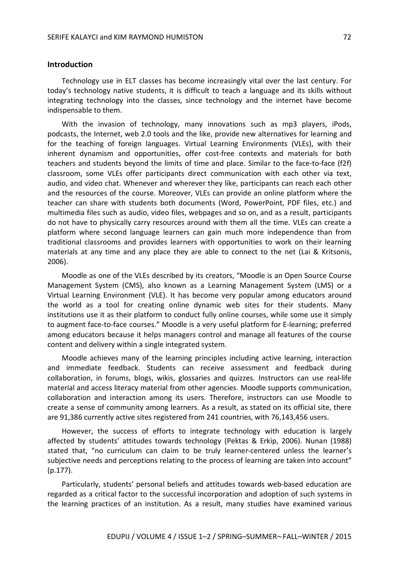## **Introduction**

Technology use in ELT classes has become increasingly vital over the last century. For today's technology native students, it is difficult to teach a language and its skills without integrating technology into the classes, since technology and the internet have become indispensable to them.

With the invasion of technology, many innovations such as mp3 players, iPods, podcasts, the Internet, web 2.0 tools and the like, provide new alternatives for learning and for the teaching of foreign languages. Virtual Learning Environments (VLEs), with their inherent dynamism and opportunities, offer cost-free contexts and materials for both teachers and students beyond the limits of time and place. Similar to the face-to-face (f2f) classroom, some VLEs offer participants direct communication with each other via text, audio, and video chat. Whenever and wherever they like, participants can reach each other and the resources of the course. Moreover, VLEs can provide an online platform where the teacher can share with students both documents (Word, PowerPoint, PDF files, etc.) and multimedia files such as audio, video files, webpages and so on, and as a result, participants do not have to physically carry resources around with them all the time. VLEs can create a platform where second language learners can gain much more independence than from traditional classrooms and provides learners with opportunities to work on their learning materials at any time and any place they are able to connect to the net (Lai & Kritsonis, 2006).

Moodle as one of the VLEs described by its creators, "Moodle is an Open Source Course Management System (CMS), also known as a Learning Management System (LMS) or a Virtual Learning Environment (VLE). It has become very popular among educators around the world as a tool for creating online dynamic web sites for their students. Many institutions use it as their platform to conduct fully online courses, while some use it simply to augment face-to-face courses." Moodle is a very useful platform for E-learning; preferred among educators because it helps managers control and manage all features of the course content and delivery within a single integrated system.

Moodle achieves many of the learning principles including active learning, interaction and immediate feedback. Students can receive assessment and feedback during collaboration, in forums, blogs, wikis, glossaries and quizzes. Instructors can use real-life material and access literacy material from other agencies. Moodle supports communication, collaboration and interaction among its users. Therefore, instructors can use Moodle to create a sense of community among learners. As a result, as stated on its official site, there are 91,386 currently active sites registered from 241 countries, with 76,143,456 users.

However, the success of efforts to integrate technology with education is largely affected by students' attitudes towards technology (Pektas & Erkip, 2006). Nunan (1988) stated that, "no curriculum can claim to be truly learner-centered unless the learner's subjective needs and perceptions relating to the process of learning are taken into account" (p.177).

Particularly, students' personal beliefs and attitudes towards web-based education are regarded as a critical factor to the successful incorporation and adoption of such systems in the learning practices of an institution. As a result, many studies have examined various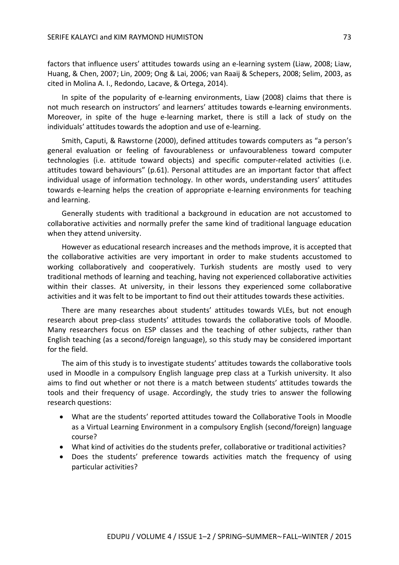factors that influence users' attitudes towards using an e-learning system (Liaw, 2008; Liaw, Huang, & Chen, 2007; Lin, 2009; Ong & Lai, 2006; van Raaij & Schepers, 2008; Selim, 2003, as cited in Molina A. I., Redondo, Lacave, & Ortega, 2014).

In spite of the popularity of e-learning environments, Liaw (2008) claims that there is not much research on instructors' and learners' attitudes towards e-learning environments. Moreover, in spite of the huge e-learning market, there is still a lack of study on the individuals' attitudes towards the adoption and use of e-learning.

Smith, Caputi, & Rawstorne (2000), defined attitudes towards computers as "a person's general evaluation or feeling of favourableness or unfavourableness toward computer technologies (i.e. attitude toward objects) and specific computer-related activities (i.e. attitudes toward behaviours" (p.61). Personal attitudes are an important factor that affect individual usage of information technology. In other words, understanding users' attitudes towards e-learning helps the creation of appropriate e-learning environments for teaching and learning.

Generally students with traditional a background in education are not accustomed to collaborative activities and normally prefer the same kind of traditional language education when they attend university.

However as educational research increases and the methods improve, it is accepted that the collaborative activities are very important in order to make students accustomed to working collaboratively and cooperatively. Turkish students are mostly used to very traditional methods of learning and teaching, having not experienced collaborative activities within their classes. At university, in their lessons they experienced some collaborative activities and it was felt to be important to find out their attitudes towards these activities.

There are many researches about students' attitudes towards VLEs, but not enough research about prep-class students' attitudes towards the collaborative tools of Moodle. Many researchers focus on ESP classes and the teaching of other subjects, rather than English teaching (as a second/foreign language), so this study may be considered important for the field.

The aim of this study is to investigate students' attitudes towards the collaborative tools used in Moodle in a compulsory English language prep class at a Turkish university. It also aims to find out whether or not there is a match between students' attitudes towards the tools and their frequency of usage. Accordingly, the study tries to answer the following research questions:

- What are the students' reported attitudes toward the Collaborative Tools in Moodle as a Virtual Learning Environment in a compulsory English (second/foreign) language course?
- What kind of activities do the students prefer, collaborative or traditional activities?
- Does the students' preference towards activities match the frequency of using particular activities?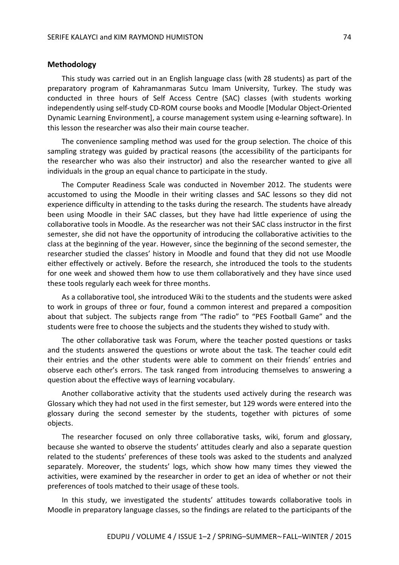## **Methodology**

This study was carried out in an English language class (with 28 students) as part of the preparatory program of Kahramanmaras Sutcu Imam University, Turkey. The study was conducted in three hours of Self Access Centre (SAC) classes (with students working independently using self-study CD-ROM course books and Moodle [Modular Object-Oriented Dynamic Learning Environment], a course management system using e-learning software). In this lesson the researcher was also their main course teacher.

The convenience sampling method was used for the group selection. The choice of this sampling strategy was guided by practical reasons (the accessibility of the participants for the researcher who was also their instructor) and also the researcher wanted to give all individuals in the group an equal chance to participate in the study.

The Computer Readiness Scale was conducted in November 2012. The students were accustomed to using the Moodle in their writing classes and SAC lessons so they did not experience difficulty in attending to the tasks during the research. The students have already been using Moodle in their SAC classes, but they have had little experience of using the collaborative tools in Moodle. As the researcher was not their SAC class instructor in the first semester, she did not have the opportunity of introducing the collaborative activities to the class at the beginning of the year. However, since the beginning of the second semester, the researcher studied the classes' history in Moodle and found that they did not use Moodle either effectively or actively. Before the research, she introduced the tools to the students for one week and showed them how to use them collaboratively and they have since used these tools regularly each week for three months.

As a collaborative tool, she introduced Wiki to the students and the students were asked to work in groups of three or four, found a common interest and prepared a composition about that subject. The subjects range from "The radio" to "PES Football Game" and the students were free to choose the subjects and the students they wished to study with.

The other collaborative task was Forum, where the teacher posted questions or tasks and the students answered the questions or wrote about the task. The teacher could edit their entries and the other students were able to comment on their friends' entries and observe each other's errors. The task ranged from introducing themselves to answering a question about the effective ways of learning vocabulary.

Another collaborative activity that the students used actively during the research was Glossary which they had not used in the first semester, but 129 words were entered into the glossary during the second semester by the students, together with pictures of some objects.

The researcher focused on only three collaborative tasks, wiki, forum and glossary, because she wanted to observe the students' attitudes clearly and also a separate question related to the students' preferences of these tools was asked to the students and analyzed separately. Moreover, the students' logs, which show how many times they viewed the activities, were examined by the researcher in order to get an idea of whether or not their preferences of tools matched to their usage of these tools.

In this study, we investigated the students' attitudes towards collaborative tools in Moodle in preparatory language classes, so the findings are related to the participants of the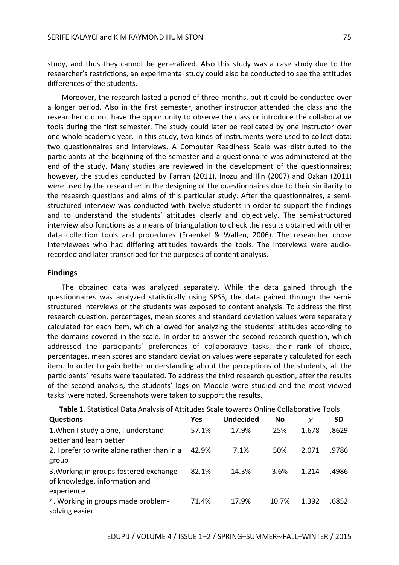study, and thus they cannot be generalized. Also this study was a case study due to the researcher's restrictions, an experimental study could also be conducted to see the attitudes differences of the students.

Moreover, the research lasted a period of three months, but it could be conducted over a longer period. Also in the first semester, another instructor attended the class and the researcher did not have the opportunity to observe the class or introduce the collaborative tools during the first semester. The study could later be replicated by one instructor over one whole academic year. In this study, two kinds of instruments were used to collect data: two questionnaires and interviews. A Computer Readiness Scale was distributed to the participants at the beginning of the semester and a questionnaire was administered at the end of the study. Many studies are reviewed in the development of the questionnaires; however, the studies conducted by Farrah (2011), Inozu and Ilin (2007) and Ozkan (2011) were used by the researcher in the designing of the questionnaires due to their similarity to the research questions and aims of this particular study. After the questionnaires, a semistructured interview was conducted with twelve students in order to support the findings and to understand the students' attitudes clearly and objectively. The semi-structured interview also functions as a means of triangulation to check the results obtained with other data collection tools and procedures (Fraenkel & Wallen, 2006). The researcher chose interviewees who had differing attitudes towards the tools. The interviews were audiorecorded and later transcribed for the purposes of content analysis.

## **Findings**

The obtained data was analyzed separately. While the data gained through the questionnaires was analyzed statistically using SPSS, the data gained through the semistructured interviews of the students was exposed to content analysis. To address the first research question, percentages, mean scores and standard deviation values were separately calculated for each item, which allowed for analyzing the students' attitudes according to the domains covered in the scale. In order to answer the second research question, which addressed the participants' preferences of collaborative tasks, their rank of choice, percentages, mean scores and standard deviation values were separately calculated for each item. In order to gain better understanding about the perceptions of the students, all the participants' results were tabulated. To address the third research question, after the results of the second analysis, the students' logs on Moodle were studied and the most viewed tasks' were noted. Screenshots were taken to support the results.

| <b>Questions</b>                            | Yes   | <b>Undecided</b> | No    | $\overline{X}$ | <b>SD</b> |
|---------------------------------------------|-------|------------------|-------|----------------|-----------|
| 1. When I study alone, I understand         | 57.1% | 17.9%            | 25%   | 1.678          | .8629     |
| better and learn better                     |       |                  |       |                |           |
| 2. I prefer to write alone rather than in a | 42.9% | 7.1%             | 50%   | 2.071          | .9786     |
| group                                       |       |                  |       |                |           |
| 3. Working in groups fostered exchange      | 82.1% | 14.3%            | 3.6%  | 1.214          | .4986     |
| of knowledge, information and               |       |                  |       |                |           |
| experience                                  |       |                  |       |                |           |
| 4. Working in groups made problem-          | 71.4% | 17.9%            | 10.7% | 1.392          | .6852     |
| solving easier                              |       |                  |       |                |           |

**Table 1.** Statistical Data Analysis of Attitudes Scale towards Online Collaborative Tools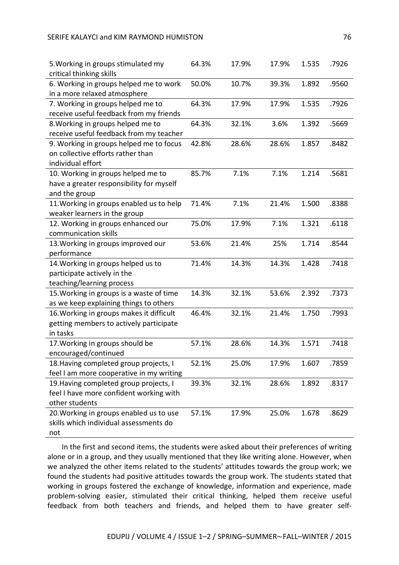| 5. Working in groups stimulated my       | 64.3% | 17.9% | 17.9% | 1.535 | .7926 |
|------------------------------------------|-------|-------|-------|-------|-------|
| critical thinking skills                 |       |       |       |       |       |
| 6. Working in groups helped me to work   | 50.0% | 10.7% | 39.3% | 1.892 | .9560 |
| in a more relaxed atmosphere             |       |       |       |       |       |
| 7. Working in groups helped me to        | 64.3% | 17.9% | 17.9% | 1.535 | .7926 |
| receive useful feedback from my friends  |       |       |       |       |       |
| 8. Working in groups helped me to        | 64.3% | 32.1% | 3.6%  | 1.392 | .5669 |
| receive useful feedback from my teacher  |       |       |       |       |       |
| 9. Working in groups helped me to focus  | 42.8% | 28.6% | 28.6% | 1.857 | .8482 |
| on collective efforts rather than        |       |       |       |       |       |
| individual effort                        |       |       |       |       |       |
| 10. Working in groups helped me to       | 85.7% | 7.1%  | 7.1%  | 1.214 | .5681 |
| have a greater responsibility for myself |       |       |       |       |       |
| and the group                            |       |       |       |       |       |
| 11. Working in groups enabled us to help | 71.4% | 7.1%  | 21.4% | 1.500 | .8388 |
| weaker learners in the group             |       |       |       |       |       |
| 12. Working in groups enhanced our       | 75.0% | 17.9% | 7.1%  | 1.321 | .6118 |
| communication skills                     |       |       |       |       |       |
| 13. Working in groups improved our       | 53.6% | 21.4% | 25%   | 1.714 | .8544 |
| performance                              |       |       |       |       |       |
| 14. Working in groups helped us to       | 71.4% | 14.3% | 14.3% | 1.428 | .7418 |
| participate actively in the              |       |       |       |       |       |
| teaching/learning process                |       |       |       |       |       |
| 15. Working in groups is a waste of time | 14.3% | 32.1% | 53.6% | 2.392 | .7373 |
| as we keep explaining things to others   |       |       |       |       |       |
| 16. Working in groups makes it difficult | 46.4% | 32.1% | 21.4% | 1.750 | .7993 |
| getting members to actively participate  |       |       |       |       |       |
| in tasks                                 |       |       |       |       |       |
| 17. Working in groups should be          | 57.1% | 28.6% | 14.3% | 1.571 | .7418 |
| encouraged/continued                     |       |       |       |       |       |
| 18. Having completed group projects, I   | 52.1% | 25.0% | 17.9% | 1.607 | .7859 |
| feel I am more cooperative in my writing |       |       |       |       |       |
| 19. Having completed group projects, I   | 39.3% | 32.1% | 28.6% | 1.892 | .8317 |
| feel I have more confident working with  |       |       |       |       |       |
| other students                           |       |       |       |       |       |
| 20. Working in groups enabled us to use  | 57.1% | 17.9% | 25.0% | 1.678 | .8629 |
| skills which individual assessments do   |       |       |       |       |       |
| not                                      |       |       |       |       |       |

In the first and second items, the students were asked about their preferences of writing alone or in a group, and they usually mentioned that they like writing alone. However, when we analyzed the other items related to the students' attitudes towards the group work; we found the students had positive attitudes towards the group work. The students stated that working in groups fostered the exchange of knowledge, information and experience, made problem-solving easier, stimulated their critical thinking, helped them receive useful feedback from both teachers and friends, and helped them to have greater self-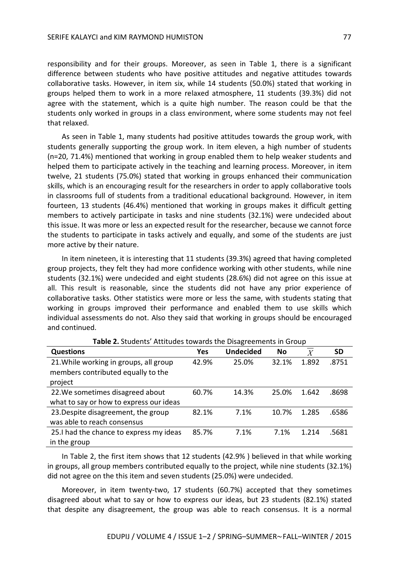responsibility and for their groups. Moreover, as seen in Table 1, there is a significant difference between students who have positive attitudes and negative attitudes towards collaborative tasks. However, in item six, while 14 students (50.0%) stated that working in groups helped them to work in a more relaxed atmosphere, 11 students (39.3%) did not agree with the statement, which is a quite high number. The reason could be that the students only worked in groups in a class environment, where some students may not feel that relaxed.

As seen in Table 1, many students had positive attitudes towards the group work, with students generally supporting the group work. In item eleven, a high number of students (n=20, 71.4%) mentioned that working in group enabled them to help weaker students and helped them to participate actively in the teaching and learning process. Moreover, in item twelve, 21 students (75.0%) stated that working in groups enhanced their communication skills, which is an encouraging result for the researchers in order to apply collaborative tools in classrooms full of students from a traditional educational background. However, in item fourteen, 13 students (46.4%) mentioned that working in groups makes it difficult getting members to actively participate in tasks and nine students (32.1%) were undecided about this issue. It was more or less an expected result for the researcher, because we cannot force the students to participate in tasks actively and equally, and some of the students are just more active by their nature.

In item nineteen, it is interesting that 11 students (39.3%) agreed that having completed group projects, they felt they had more confidence working with other students, while nine students (32.1%) were undecided and eight students (28.6%) did not agree on this issue at all. This result is reasonable, since the students did not have any prior experience of collaborative tasks. Other statistics were more or less the same, with students stating that working in groups improved their performance and enabled them to use skills which individual assessments do not. Also they said that working in groups should be encouraged and continued.

| <b>Questions</b>                         | <b>Yes</b> | <b>Undecided</b> | <b>No</b> | __<br>$\overline{X}$ | <b>SD</b> |
|------------------------------------------|------------|------------------|-----------|----------------------|-----------|
| 21. While working in groups, all group   | 42.9%      | 25.0%            | 32.1%     | 1.892                | .8751     |
| members contributed equally to the       |            |                  |           |                      |           |
| project                                  |            |                  |           |                      |           |
| 22. We sometimes disagreed about         | 60.7%      | 14.3%            | 25.0%     | 1.642                | .8698     |
| what to say or how to express our ideas  |            |                  |           |                      |           |
| 23. Despite disagreement, the group      | 82.1%      | 7.1%             | 10.7%     | 1.285                | .6586     |
| was able to reach consensus              |            |                  |           |                      |           |
| 25. I had the chance to express my ideas | 85.7%      | 7.1%             | 7.1%      | 1.214                | .5681     |
| in the group                             |            |                  |           |                      |           |

**Table 2.** Students' Attitudes towards the Disagreements in Group

In Table 2, the first item shows that 12 students (42.9% ) believed in that while working in groups, all group members contributed equally to the project, while nine students (32.1%) did not agree on the this item and seven students (25.0%) were undecided.

Moreover, in item twenty-two, 17 students (60.7%) accepted that they sometimes disagreed about what to say or how to express our ideas, but 23 students (82.1%) stated that despite any disagreement, the group was able to reach consensus. It is a normal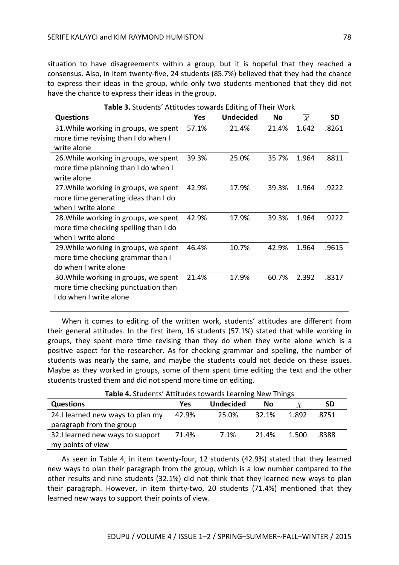situation to have disagreements within a group, but it is hopeful that they reached a consensus. Also, in item twenty-five, 24 students (85.7%) believed that they had the chance to express their ideas in the group, while only two students mentioned that they did not have the chance to express their ideas in the group.

| <b>Questions</b>                      | Yes   | <b>Undecided</b> | No    | X     | <b>SD</b> |
|---------------------------------------|-------|------------------|-------|-------|-----------|
| 31. While working in groups, we spent | 57.1% | 21.4%            | 21.4% | 1.642 | .8261     |
| more time revising than I do when I   |       |                  |       |       |           |
| write alone                           |       |                  |       |       |           |
| 26. While working in groups, we spent | 39.3% | 25.0%            | 35.7% | 1.964 | .8811     |
| more time planning than I do when I   |       |                  |       |       |           |
| write alone                           |       |                  |       |       |           |
| 27. While working in groups, we spent | 42.9% | 17.9%            | 39.3% | 1.964 | .9222     |
| more time generating ideas than I do  |       |                  |       |       |           |
| when I write alone                    |       |                  |       |       |           |
| 28. While working in groups, we spent | 42.9% | 17.9%            | 39.3% | 1.964 | .9222     |
| more time checking spelling than I do |       |                  |       |       |           |
| when I write alone                    |       |                  |       |       |           |
| 29. While working in groups, we spent | 46.4% | 10.7%            | 42.9% | 1.964 | .9615     |
| more time checking grammar than I     |       |                  |       |       |           |
| do when I write alone                 |       |                  |       |       |           |
| 30. While working in groups, we spent | 21.4% | 17.9%            | 60.7% | 2.392 | .8317     |
| more time checking punctuation than   |       |                  |       |       |           |
| I do when I write alone               |       |                  |       |       |           |

**Table 3.** Students' Attitudes towards Editing of Their Work

When it comes to editing of the written work, students' attitudes are different from their general attitudes. In the first item, 16 students (57.1%) stated that while working in groups, they spent more time revising than they do when they write alone which is a positive aspect for the researcher. As for checking grammar and spelling, the number of students was nearly the same, and maybe the students could not decide on these issues. Maybe as they worked in groups, some of them spent time editing the text and the other students trusted them and did not spend more time on editing.

**Questions Physical Line X Yes Undecided No**  $\overline{X}$  **SD** 24.I learned new ways to plan my paragraph from the group 42.9% 25.0% 32.1% 1.892 .8751 32.I learned new ways to support my points of view 71.4% 7.1% 21.4% 1.500 .8388

**Table 4.** Students' Attitudes towards Learning New Things

As seen in Table 4, in item twenty-four, 12 students (42.9%) stated that they learned new ways to plan their paragraph from the group, which is a low number compared to the other results and nine students (32.1%) did not think that they learned new ways to plan their paragraph. However, in item thirty-two, 20 students (71.4%) mentioned that they learned new ways to support their points of view.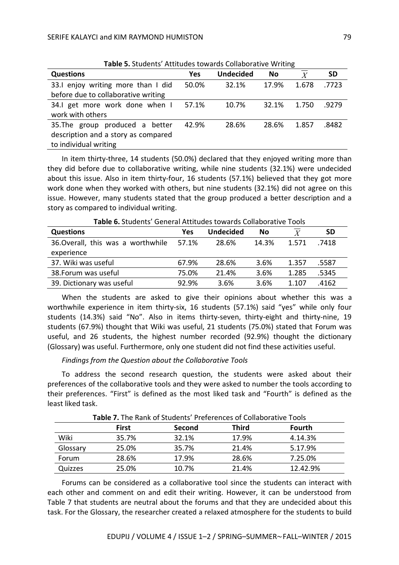| <b>Table 3:</b> Stadents Attitudes towards conditionally continue |       |                  |       |                |           |  |  |
|-------------------------------------------------------------------|-------|------------------|-------|----------------|-----------|--|--|
| <b>Questions</b>                                                  | Yes   | <b>Undecided</b> | No    | $\overline{X}$ | <b>SD</b> |  |  |
| 33.1 enjoy writing more than I did                                | 50.0% | 32.1%            | 17.9% | 1.678          | .7723     |  |  |
| before due to collaborative writing                               |       |                  |       |                |           |  |  |
| 34.1 get more work done when I                                    | 57.1% | 10.7%            | 32.1% | 1.750          | .9279     |  |  |
| work with others                                                  |       |                  |       |                |           |  |  |
| 35. The group produced a better                                   | 42.9% | 28.6%            | 28.6% | 1.857          | .8482     |  |  |
| description and a story as compared                               |       |                  |       |                |           |  |  |
| to individual writing                                             |       |                  |       |                |           |  |  |

**Table 5.** Students' Attitudes towards Collaborative Writing

In item thirty-three, 14 students (50.0%) declared that they enjoyed writing more than they did before due to collaborative writing, while nine students (32.1%) were undecided about this issue. Also in item thirty-four, 16 students (57.1%) believed that they got more work done when they worked with others, but nine students (32.1%) did not agree on this issue. However, many students stated that the group produced a better description and a story as compared to individual writing.

| <b>Table 6.</b> Students   General Attitudes towards Collaborative Tools |       |                  |       |       |           |  |  |  |
|--------------------------------------------------------------------------|-------|------------------|-------|-------|-----------|--|--|--|
| <b>Questions</b>                                                         | Yes   | <b>Undecided</b> | No    |       | <b>SD</b> |  |  |  |
| 36. Overall, this was a worthwhile                                       | 57.1% | 28.6%            | 14.3% | 1.571 | .7418     |  |  |  |
| experience                                                               |       |                  |       |       |           |  |  |  |
| 37. Wiki was useful                                                      | 67.9% | 28.6%            | 3.6%  | 1.357 | .5587     |  |  |  |
| 38. Forum was useful                                                     | 75.0% | 21.4%            | 3.6%  | 1.285 | .5345     |  |  |  |
| 39. Dictionary was useful                                                | 92.9% | 3.6%             | 3.6%  | 1.107 | .4162     |  |  |  |

**Table 6.** Students' General Attitudes towards Collaborative Tools

When the students are asked to give their opinions about whether this was a worthwhile experience in item thirty-six, 16 students (57.1%) said "yes" while only four students (14.3%) said "No". Also in items thirty-seven, thirty-eight and thirty-nine, 19 students (67.9%) thought that Wiki was useful, 21 students (75.0%) stated that Forum was useful, and 26 students, the highest number recorded (92.9%) thought the dictionary (Glossary) was useful. Furthermore, only one student did not find these activities useful.

## *Findings from the Question about the Collaborative Tools*

To address the second research question, the students were asked about their preferences of the collaborative tools and they were asked to number the tools according to their preferences. "First" is defined as the most liked task and "Fourth" is defined as the least liked task.

| <b>Table 7.</b> The name of Stadents Therefores of Condivolative Tools |              |        |              |          |  |  |
|------------------------------------------------------------------------|--------------|--------|--------------|----------|--|--|
|                                                                        | <b>First</b> | Second | <b>Third</b> | Fourth   |  |  |
| Wiki                                                                   | 35.7%        | 32.1%  | 17.9%        | 4.14.3%  |  |  |
| Glossary                                                               | 25.0%        | 35.7%  | 21.4%        | 5.17.9%  |  |  |
| Forum                                                                  | 28.6%        | 17.9%  | 28.6%        | 7.25.0%  |  |  |
| Quizzes                                                                | 25.0%        | 10.7%  | 21.4%        | 12.42.9% |  |  |

**Table 7.** The Rank of Students' Preferences of Collaborative Tools

Forums can be considered as a collaborative tool since the students can interact with each other and comment on and edit their writing. However, it can be understood from Table 7 that students are neutral about the forums and that they are undecided about this task. For the Glossary, the researcher created a relaxed atmosphere for the students to build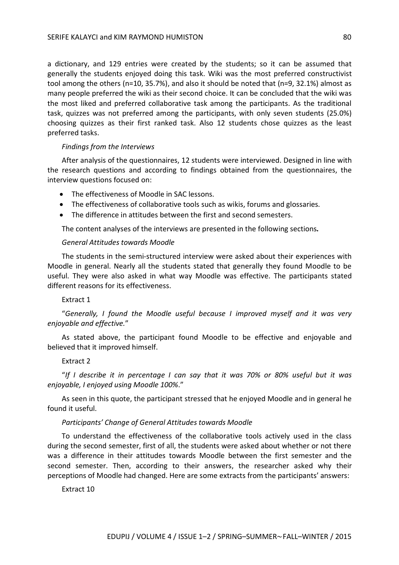a dictionary, and 129 entries were created by the students; so it can be assumed that generally the students enjoyed doing this task. Wiki was the most preferred constructivist tool among the others (n=10, 35.7%), and also it should be noted that (n=9, 32.1%) almost as many people preferred the wiki as their second choice. It can be concluded that the wiki was the most liked and preferred collaborative task among the participants. As the traditional task, quizzes was not preferred among the participants, with only seven students (25.0%) choosing quizzes as their first ranked task. Also 12 students chose quizzes as the least preferred tasks.

## *Findings from the Interviews*

After analysis of the questionnaires, 12 students were interviewed. Designed in line with the research questions and according to findings obtained from the questionnaires, the interview questions focused on:

- The effectiveness of Moodle in SAC lessons.
- The effectiveness of collaborative tools such as wikis, forums and glossaries.
- The difference in attitudes between the first and second semesters.

The content analyses of the interviews are presented in the following sections**.**

## *General Attitudes towards Moodle*

The students in the semi-structured interview were asked about their experiences with Moodle in general. Nearly all the students stated that generally they found Moodle to be useful. They were also asked in what way Moodle was effective. The participants stated different reasons for its effectiveness.

## Extract 1

"*Generally, I found the Moodle useful because I improved myself and it was very enjoyable and effective.*"

As stated above, the participant found Moodle to be effective and enjoyable and believed that it improved himself.

## Extract 2

"*If I describe it in percentage I can say that it was 70% or 80% useful but it was enjoyable, I enjoyed using Moodle 100%*."

As seen in this quote, the participant stressed that he enjoyed Moodle and in general he found it useful.

## *Participants' Change of General Attitudes towards Moodle*

To understand the effectiveness of the collaborative tools actively used in the class during the second semester, first of all, the students were asked about whether or not there was a difference in their attitudes towards Moodle between the first semester and the second semester. Then, according to their answers, the researcher asked why their perceptions of Moodle had changed. Here are some extracts from the participants' answers:

Extract 10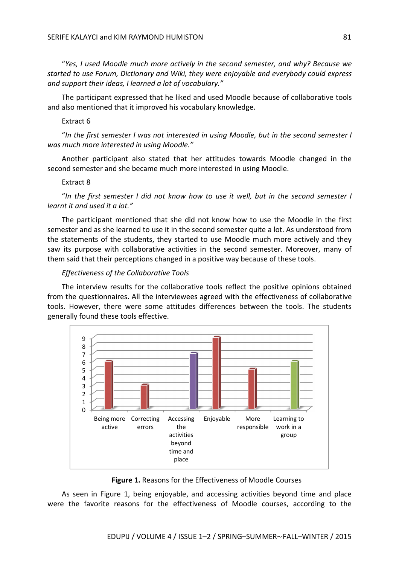"*Yes, I used Moodle much more actively in the second semester, and why? Because we started to use Forum, Dictionary and Wiki, they were enjoyable and everybody could express and support their ideas, I learned a lot of vocabulary."*

The participant expressed that he liked and used Moodle because of collaborative tools and also mentioned that it improved his vocabulary knowledge.

## Extract 6

"*In the first semester I was not interested in using Moodle, but in the second semester I was much more interested in using Moodle."*

Another participant also stated that her attitudes towards Moodle changed in the second semester and she became much more interested in using Moodle.

#### Extract 8

"*In the first semester I did not know how to use it well, but in the second semester I learnt it and used it a lot."*

The participant mentioned that she did not know how to use the Moodle in the first semester and as she learned to use it in the second semester quite a lot. As understood from the statements of the students, they started to use Moodle much more actively and they saw its purpose with collaborative activities in the second semester. Moreover, many of them said that their perceptions changed in a positive way because of these tools.

#### *Effectiveness of the Collaborative Tools*

The interview results for the collaborative tools reflect the positive opinions obtained from the questionnaires. All the interviewees agreed with the effectiveness of collaborative tools. However, there were some attitudes differences between the tools. The students generally found these tools effective.



**Figure 1.** Reasons for the Effectiveness of Moodle Courses

As seen in Figure 1, being enjoyable, and accessing activities beyond time and place were the favorite reasons for the effectiveness of Moodle courses, according to the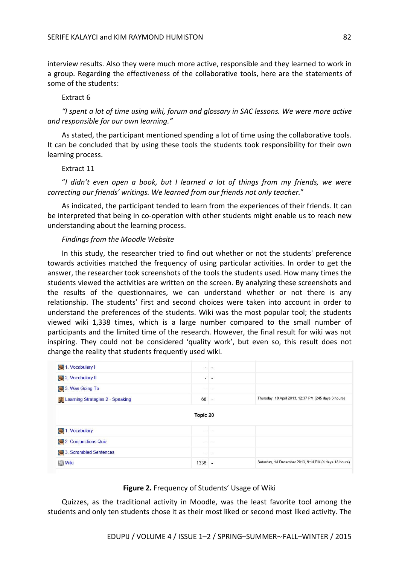interview results. Also they were much more active, responsible and they learned to work in a group. Regarding the effectiveness of the collaborative tools, here are the statements of some of the students:

#### Extract 6

*"I spent a lot of time using wiki, forum and glossary in SAC lessons. We were more active and responsible for our own learning."*

As stated, the participant mentioned spending a lot of time using the collaborative tools. It can be concluded that by using these tools the students took responsibility for their own learning process.

### Extract 11

"*I didn't even open a book, but I learned a lot of things from my friends, we were correcting our friends' writings. We learned from our friends not only teacher.*"

As indicated, the participant tended to learn from the experiences of their friends. It can be interpreted that being in co-operation with other students might enable us to reach new understanding about the learning process.

## *Findings from the Moodle Website*

In this study, the researcher tried to find out whether or not the students' preference towards activities matched the frequency of using particular activities. In order to get the answer, the researcher took screenshots of the tools the students used. How many times the students viewed the activities are written on the screen. By analyzing these screenshots and the results of the questionnaires, we can understand whether or not there is any relationship. The students' first and second choices were taken into account in order to understand the preferences of the students. Wiki was the most popular tool; the students viewed wiki 1,338 times, which is a large number compared to the small number of participants and the limited time of the research. However, the final result for wiki was not inspiring. They could not be considered 'quality work', but even so, this result does not change the reality that students frequently used wiki.

| 1. Vocabulary I                  | Ξ.       | $\overline{\phantom{a}}$ |                                                       |
|----------------------------------|----------|--------------------------|-------------------------------------------------------|
| 2. Vocabulary II                 | $\sim$   | $\omega$                 |                                                       |
| 3. Was Going To                  | $-$      | $\sim$                   |                                                       |
| Learning Strategies 2 - Speaking | 68 -     |                          | Thursday, 18 April 2013, 12:37 PM (245 days 3 hours)  |
| 1. Vocabulary                    |          | $\frac{1}{2}$            |                                                       |
|                                  |          |                          |                                                       |
| 2. Conjunctions Quiz             |          | (m) (m)                  |                                                       |
|                                  |          |                          |                                                       |
| 3. Scrambled Sentences           | ۰.       | $\sim$                   |                                                       |
| <b>Wiki</b>                      | $1338 -$ |                          | Saturday, 14 December 2013, 9:14 PM (4 days 18 hours) |
|                                  |          |                          |                                                       |

## **Figure 2.** Frequency of Students' Usage of Wiki

Quizzes, as the traditional activity in Moodle, was the least favorite tool among the students and only ten students chose it as their most liked or second most liked activity. The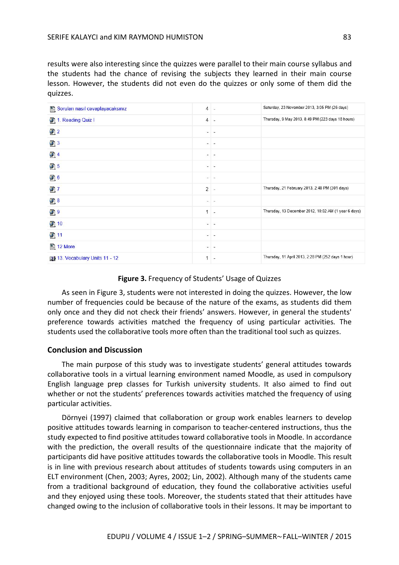results were also interesting since the quizzes were parallel to their main course syllabus and the students had the chance of revising the subjects they learned in their main course lesson. However, the students did not even do the quizzes or only some of them did the quizzes.

| Soruları nasıl cevaplayacaksınız | $\overline{4}$ | ÷.                       | Saturday, 23 November 2013, 3:05 PM (26 days)        |
|----------------------------------|----------------|--------------------------|------------------------------------------------------|
| 1. Reading Quiz I                | $\overline{4}$ | $\sim$                   | Thursday, 9 May 2013, 8:49 PM (223 days 18 hours)    |
| 2 <sup>2</sup>                   | ۰.             | $\frac{1}{2}$            |                                                      |
| $\Box$ 3                         | $\sim$         | $\tau$                   |                                                      |
| 214                              |                |                          |                                                      |
| 25                               |                | $\overline{\phantom{a}}$ |                                                      |
| 26                               | $\frac{1}{2}$  | $\frac{1}{2}$            |                                                      |
| 27                               | 2              | Ġ.                       | Thursday, 21 February 2013, 2:48 PM (301 days)       |
| 28                               |                |                          |                                                      |
| 29                               | 1              | $\overline{\phantom{a}}$ | Thursday, 13 December 2012, 10:02 AM (1 year 6 days) |
| 210                              | $\sim$         | $\overline{\phantom{a}}$ |                                                      |
| 211                              |                |                          |                                                      |
| 12 More                          | $-1$           | $\sim$                   |                                                      |
| 13. Vocabulary Units 11 - 12     | 1              | $\sim$                   | Thursday, 11 April 2013, 2:28 PM (252 days 1 hour)   |

## **Figure 3.** Frequency of Students' Usage of Quizzes

As seen in Figure 3, students were not interested in doing the quizzes. However, the low number of frequencies could be because of the nature of the exams, as students did them only once and they did not check their friends' answers. However, in general the students' preference towards activities matched the frequency of using particular activities. The students used the collaborative tools more often than the traditional tool such as quizzes.

## **Conclusion and Discussion**

The main purpose of this study was to investigate students' general attitudes towards collaborative tools in a virtual learning environment named Moodle, as used in compulsory English language prep classes for Turkish university students. It also aimed to find out whether or not the students' preferences towards activities matched the frequency of using particular activities.

Dörnyei (1997) claimed that collaboration or group work enables learners to develop positive attitudes towards learning in comparison to teacher-centered instructions, thus the study expected to find positive attitudes toward collaborative tools in Moodle. In accordance with the prediction, the overall results of the questionnaire indicate that the majority of participants did have positive attitudes towards the collaborative tools in Moodle. This result is in line with previous research about attitudes of students towards using computers in an ELT environment (Chen, 2003; Ayres, 2002; Lin, 2002). Although many of the students came from a traditional background of education, they found the collaborative activities useful and they enjoyed using these tools. Moreover, the students stated that their attitudes have changed owing to the inclusion of collaborative tools in their lessons. It may be important to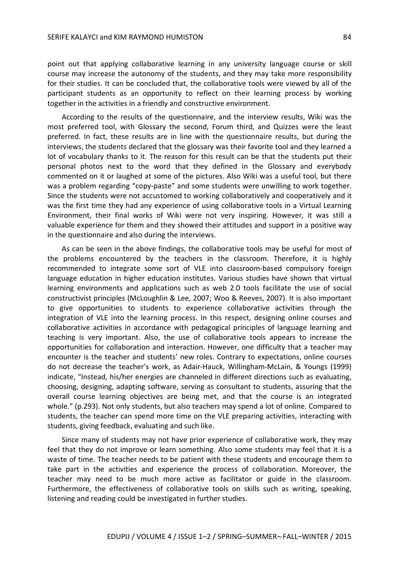point out that applying collaborative learning in any university language course or skill course may increase the autonomy of the students, and they may take more responsibility for their studies. It can be concluded that, the collaborative tools were viewed by all of the participant students as an opportunity to reflect on their learning process by working together in the activities in a friendly and constructive environment.

According to the results of the questionnaire, and the interview results, Wiki was the most preferred tool, with Glossary the second, Forum third, and Quizzes were the least preferred. In fact, these results are in line with the questionnaire results, but during the interviews, the students declared that the glossary was their favorite tool and they learned a lot of vocabulary thanks to it. The reason for this result can be that the students put their personal photos next to the word that they defined in the Glossary and everybody commented on it or laughed at some of the pictures. Also Wiki was a useful tool, but there was a problem regarding "copy-paste" and some students were unwilling to work together. Since the students were not accustomed to working collaboratively and cooperatively and it was the first time they had any experience of using collaborative tools in a Virtual Learning Environment, their final works of Wiki were not very inspiring. However, it was still a valuable experience for them and they showed their attitudes and support in a positive way in the questionnaire and also during the interviews.

As can be seen in the above findings, the collaborative tools may be useful for most of the problems encountered by the teachers in the classroom. Therefore, it is highly recommended to integrate some sort of VLE into classroom-based compulsory foreign language education in higher education institutes. Various studies have shown that virtual learning environments and applications such as web 2.0 tools facilitate the use of social constructivist principles (McLoughlin & Lee, 2007; Woo & Reeves, 2007). It is also important to give opportunities to students to experience collaborative activities through the integration of VLE into the learning process. In this respect, designing online courses and collaborative activities in accordance with pedagogical principles of language learning and teaching is very important. Also, the use of collaborative tools appears to increase the opportunities for collaboration and interaction. However, one difficulty that a teacher may encounter is the teacher and students' new roles. Contrary to expectations, online courses do not decrease the teacher's work, as Adair-Hauck, Willingham-McLain, & Youngs (1999) indicate, "Instead, his/her energies are channeled in different directions such as evaluating, choosing, designing, adapting software, serving as consultant to students, assuring that the overall course learning objectives are being met, and that the course is an integrated whole." (p.293). Not only students, but also teachers may spend a lot of online. Compared to students, the teacher can spend more time on the VLE preparing activities, interacting with students, giving feedback, evaluating and such like.

Since many of students may not have prior experience of collaborative work, they may feel that they do not improve or learn something. Also some students may feel that it is a waste of time. The teacher needs to be patient with these students and encourage them to take part in the activities and experience the process of collaboration. Moreover, the teacher may need to be much more active as facilitator or guide in the classroom. Furthermore, the effectiveness of collaborative tools on skills such as writing, speaking, listening and reading could be investigated in further studies.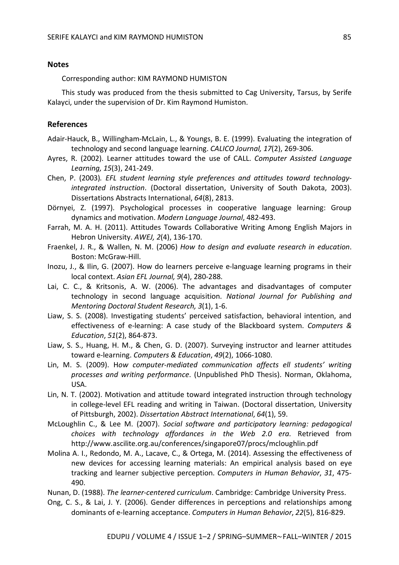## **Notes**

Corresponding author: KIM RAYMOND HUMISTON

This study was produced from the thesis submitted to Cag University, Tarsus, by Serife Kalayci, under the supervision of Dr. Kim Raymond Humiston.

## **References**

- Adair-Hauck, B., Willingham-McLain, L., & Youngs, B. E. (1999). Evaluating the integration of technology and second language learning. *CALICO Journal, 17*(2), 269-306.
- Ayres, R. (2002). Learner attitudes toward the use of CALL. *Computer Assisted Language Learning, 15*(3), 241-249.
- Chen, P. (2003)*. EFL student learning style preferences and attitudes toward technologyintegrated instruction*. (Doctoral dissertation, University of South Dakota, 2003). Dissertations Abstracts International, *64*(8), 2813.
- Dörnyei, Z. (1997). Psychological processes in cooperative language learning: Group dynamics and motivation. *Modern Language Journal*, 482-493.
- Farrah, M. A. H. (2011). Attitudes Towards Collaborative Writing Among English Majors in Hebron University. *AWEJ, 2*(4), 136-170.
- Fraenkel, J. R., & Wallen, N. M. (2006) *How to design and evaluate research in education*. Boston: McGraw-Hill.
- Inozu, J., & Ilin, G. (2007). How do learners perceive e-language learning programs in their local context. *Asian EFL Journal, 9*(4), 280-288.
- Lai, C. C., & Kritsonis, A. W. (2006). The advantages and disadvantages of computer technology in second language acquisition. *National Journal for Publishing and Mentoring Doctoral Student Research, 3*(1), 1-6.
- Liaw, S. S. (2008). Investigating students' perceived satisfaction, behavioral intention, and effectiveness of e-learning: A case study of the Blackboard system. *Computers & Education*, *51*(2), 864-873.
- Liaw, S. S., Huang, H. M., & Chen, G. D. (2007). Surveying instructor and learner attitudes toward e-learning. *Computers & Education*, *49*(2), 1066-1080.
- Lin, M. S. (2009). H*ow computer-mediated communication affects ell students' writing processes and writing performance*. (Unpublished PhD Thesis). Norman, Oklahoma, USA.
- Lin, N. T. (2002). Motivation and attitude toward integrated instruction through technology in college-level EFL reading and writing in Taiwan. (Doctoral dissertation, University of Pittsburgh, 2002). *Dissertation Abstract International*, *64*(1), 59.
- McLoughlin C., & Lee M. (2007). *Social software and participatory learning: pedagogical choices with technology affordances in the Web 2.0 era*. Retrieved from http://www.ascilite.org.au/conferences/singapore07/procs/mcloughlin.pdf
- Molina A. I., Redondo, M. A., Lacave, C., & Ortega, M. (2014). Assessing the effectiveness of new devices for accessing learning materials: An empirical analysis based on eye tracking and learner subjective perception. *Computers in Human Behavior*, *31*, 475- 490.

Nunan, D. (1988). *The learner-centered curriculum*. Cambridge: Cambridge University Press.

Ong, C. S., & Lai, J. Y. (2006). Gender differences in perceptions and relationships among dominants of e-learning acceptance. *Computers in Human Behavior*, *22*(5), 816-829.